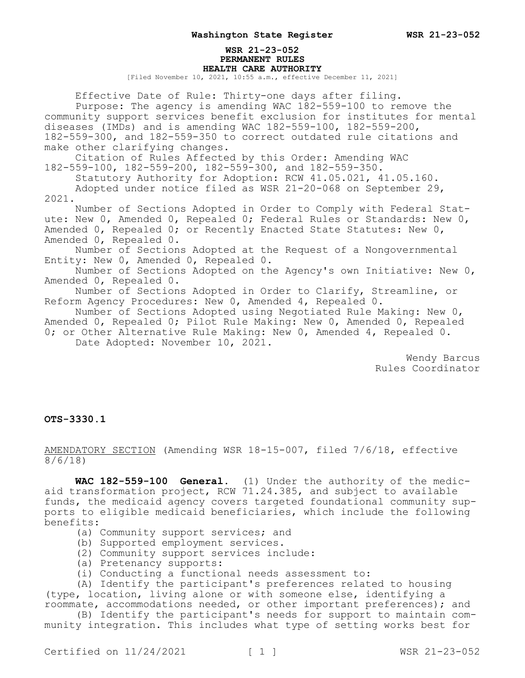## **WSR 21-23-052 PERMANENT RULES HEALTH CARE AUTHORITY**

[Filed November 10, 2021, 10:55 a.m., effective December 11, 2021]

Effective Date of Rule: Thirty-one days after filing. Purpose: The agency is amending WAC 182-559-100 to remove the community support services benefit exclusion for institutes for mental diseases (IMDs) and is amending WAC 182-559-100, 182-559-200, 182-559-300, and 182-559-350 to correct outdated rule citations and make other clarifying changes. Citation of Rules Affected by this Order: Amending WAC

182-559-100, 182-559-200, 182-559-300, and 182-559-350. Statutory Authority for Adoption: RCW 41.05.021, 41.05.160. Adopted under notice filed as WSR 21-20-068 on September 29,

2021.

Number of Sections Adopted in Order to Comply with Federal Statute: New 0, Amended 0, Repealed 0; Federal Rules or Standards: New 0, Amended 0, Repealed 0; or Recently Enacted State Statutes: New 0, Amended 0, Repealed 0.

Number of Sections Adopted at the Request of a Nongovernmental Entity: New 0, Amended 0, Repealed 0.

Number of Sections Adopted on the Agency's own Initiative: New 0, Amended 0, Repealed 0.

Number of Sections Adopted in Order to Clarify, Streamline, or Reform Agency Procedures: New 0, Amended 4, Repealed 0.

Number of Sections Adopted using Negotiated Rule Making: New 0, Amended 0, Repealed 0; Pilot Rule Making: New 0, Amended 0, Repealed 0; or Other Alternative Rule Making: New 0, Amended 4, Repealed 0. Date Adopted: November 10, 2021.

> Wendy Barcus Rules Coordinator

## **OTS-3330.1**

AMENDATORY SECTION (Amending WSR 18-15-007, filed 7/6/18, effective 8/6/18)

**WAC 182-559-100 General.** (1) Under the authority of the medicaid transformation project, RCW 71.24.385, and subject to available funds, the medicaid agency covers targeted foundational community supports to eligible medicaid beneficiaries, which include the following benefits:

- (a) Community support services; and
- (b) Supported employment services.
- (2) Community support services include:
- (a) Pretenancy supports:
- (i) Conducting a functional needs assessment to:

(A) Identify the participant's preferences related to housing (type, location, living alone or with someone else, identifying a roommate, accommodations needed, or other important preferences); and

(B) Identify the participant's needs for support to maintain community integration. This includes what type of setting works best for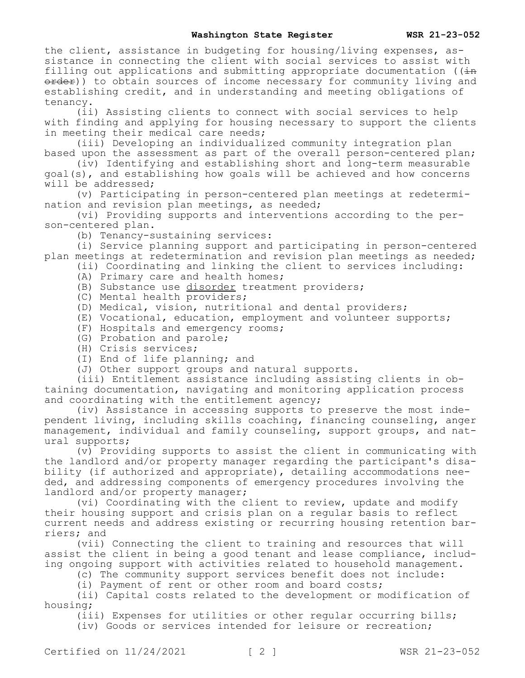the client, assistance in budgeting for housing/living expenses, assistance in connecting the client with social services to assist with filling out applications and submitting appropriate documentation ( $(i+n)$ order)) to obtain sources of income necessary for community living and establishing credit, and in understanding and meeting obligations of tenancy.

(ii) Assisting clients to connect with social services to help with finding and applying for housing necessary to support the clients in meeting their medical care needs;

(iii) Developing an individualized community integration plan based upon the assessment as part of the overall person-centered plan;

(iv) Identifying and establishing short and long-term measurable goal(s), and establishing how goals will be achieved and how concerns will be addressed;

(v) Participating in person-centered plan meetings at redetermination and revision plan meetings, as needed;

(vi) Providing supports and interventions according to the person-centered plan.

(b) Tenancy-sustaining services:

(i) Service planning support and participating in person-centered plan meetings at redetermination and revision plan meetings as needed;

(ii) Coordinating and linking the client to services including:

- (A) Primary care and health homes;
- (B) Substance use disorder treatment providers;
- (C) Mental health providers;
- (D) Medical, vision, nutritional and dental providers;
- (E) Vocational, education, employment and volunteer supports;
- (F) Hospitals and emergency rooms;
- (G) Probation and parole;
- (H) Crisis services;
- (I) End of life planning; and
- (J) Other support groups and natural supports.

(iii) Entitlement assistance including assisting clients in obtaining documentation, navigating and monitoring application process and coordinating with the entitlement agency;

(iv) Assistance in accessing supports to preserve the most independent living, including skills coaching, financing counseling, anger management, individual and family counseling, support groups, and natural supports;

(v) Providing supports to assist the client in communicating with the landlord and/or property manager regarding the participant's disability (if authorized and appropriate), detailing accommodations needed, and addressing components of emergency procedures involving the landlord and/or property manager;

(vi) Coordinating with the client to review, update and modify their housing support and crisis plan on a regular basis to reflect current needs and address existing or recurring housing retention barriers; and

(vii) Connecting the client to training and resources that will assist the client in being a good tenant and lease compliance, including ongoing support with activities related to household management.

(c) The community support services benefit does not include:

(i) Payment of rent or other room and board costs;

(ii) Capital costs related to the development or modification of housing;

(iii) Expenses for utilities or other regular occurring bills;

(iv) Goods or services intended for leisure or recreation;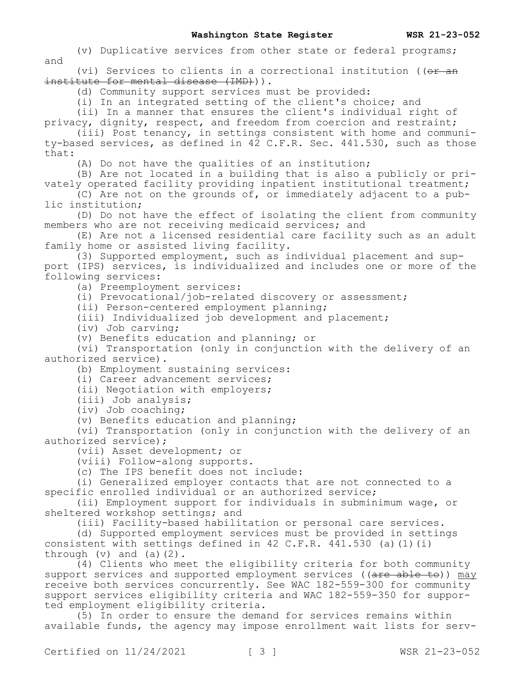(v) Duplicative services from other state or federal programs; and

(vi) Services to clients in a correctional institution (( $\theta$ r and institute for mental disease (IMD))).

(d) Community support services must be provided:

(i) In an integrated setting of the client's choice; and

(ii) In a manner that ensures the client's individual right of privacy, dignity, respect, and freedom from coercion and restraint;

(iii) Post tenancy, in settings consistent with home and community-based services, as defined in 42 C.F.R. Sec. 441.530, such as those that:

(A) Do not have the qualities of an institution;

(B) Are not located in a building that is also a publicly or privately operated facility providing inpatient institutional treatment;

(C) Are not on the grounds of, or immediately adjacent to a public institution;

(D) Do not have the effect of isolating the client from community members who are not receiving medicaid services; and

(E) Are not a licensed residential care facility such as an adult family home or assisted living facility.

(3) Supported employment, such as individual placement and support (IPS) services, is individualized and includes one or more of the following services:

(a) Preemployment services:

(i) Prevocational/job-related discovery or assessment;

(ii) Person-centered employment planning;

(iii) Individualized job development and placement;

(iv) Job carving;

(v) Benefits education and planning; or

(vi) Transportation (only in conjunction with the delivery of an authorized service).

(b) Employment sustaining services:

(i) Career advancement services;

(ii) Negotiation with employers;

(iii) Job analysis;

(iv) Job coaching;

(v) Benefits education and planning;

(vi) Transportation (only in conjunction with the delivery of an authorized service);

(vii) Asset development; or

(viii) Follow-along supports.

(c) The IPS benefit does not include:

(i) Generalized employer contacts that are not connected to a specific enrolled individual or an authorized service;

(ii) Employment support for individuals in subminimum wage, or sheltered workshop settings; and

(iii) Facility-based habilitation or personal care services.

(d) Supported employment services must be provided in settings consistent with settings defined in 42 C.F.R.  $441.530$  (a)(1)(i) through  $(v)$  and  $(a)(2)$ .

(4) Clients who meet the eligibility criteria for both community support services and supported employment services ((are able to)) may receive both services concurrently. See WAC 182-559-300 for community support services eligibility criteria and WAC 182-559-350 for supported employment eligibility criteria.

(5) In order to ensure the demand for services remains within available funds, the agency may impose enrollment wait lists for serv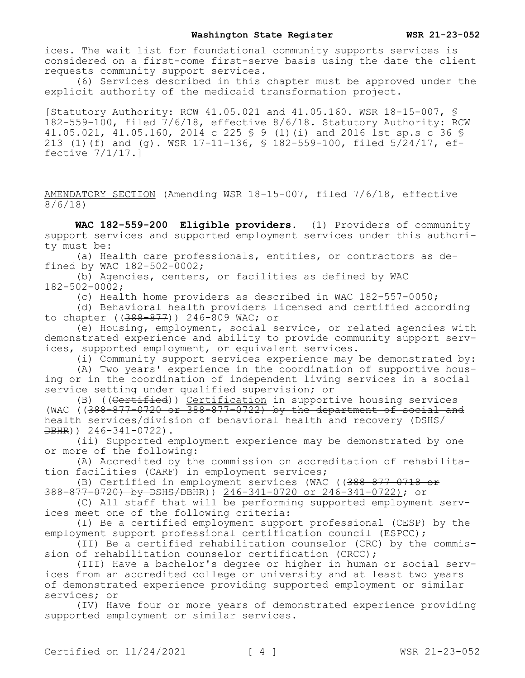ices. The wait list for foundational community supports services is considered on a first-come first-serve basis using the date the client requests community support services.

(6) Services described in this chapter must be approved under the explicit authority of the medicaid transformation project.

[Statutory Authority: RCW 41.05.021 and 41.05.160. WSR 18-15-007, § 182-559-100, filed 7/6/18, effective 8/6/18. Statutory Authority: RCW 41.05.021, 41.05.160, 2014 c 225 § 9 (1)(i) and 2016 1st sp.s c 36 § 213 (1)(f) and (g). WSR 17-11-136, § 182-559-100, filed 5/24/17, effective 7/1/17.]

AMENDATORY SECTION (Amending WSR 18-15-007, filed 7/6/18, effective 8/6/18)

**WAC 182-559-200 Eligible providers.** (1) Providers of community support services and supported employment services under this authority must be:

(a) Health care professionals, entities, or contractors as defined by WAC 182-502-0002;

(b) Agencies, centers, or facilities as defined by WAC 182-502-0002;

(c) Health home providers as described in WAC 182-557-0050;

(d) Behavioral health providers licensed and certified according to chapter ((388-877)) 246-809 WAC; or

(e) Housing, employment, social service, or related agencies with demonstrated experience and ability to provide community support services, supported employment, or equivalent services.

(i) Community support services experience may be demonstrated by:

(A) Two years' experience in the coordination of supportive housing or in the coordination of independent living services in a social service setting under qualified supervision; or

(B) ((Certified)) Certification in supportive housing services (WAC ( $(388-877-0720 \text{ or } 388-877-0722)$  by the department of social and health services/division of behavioral health and recovery (DSHS/ DBHR)) 246-341-0722).

(ii) Supported employment experience may be demonstrated by one or more of the following:

(A) Accredited by the commission on accreditation of rehabilitation facilities (CARF) in employment services;

(B) Certified in employment services (WAC ((388-877-0718 or 388-877-0720) by DSHS/DBHR)) 246-341-0720 or 246-341-0722); or

(C) All staff that will be performing supported employment services meet one of the following criteria:

(I) Be a certified employment support professional (CESP) by the employment support professional certification council (ESPCC);

(II) Be a certified rehabilitation counselor (CRC) by the commission of rehabilitation counselor certification (CRCC);

(III) Have a bachelor's degree or higher in human or social services from an accredited college or university and at least two years of demonstrated experience providing supported employment or similar services; or

(IV) Have four or more years of demonstrated experience providing supported employment or similar services.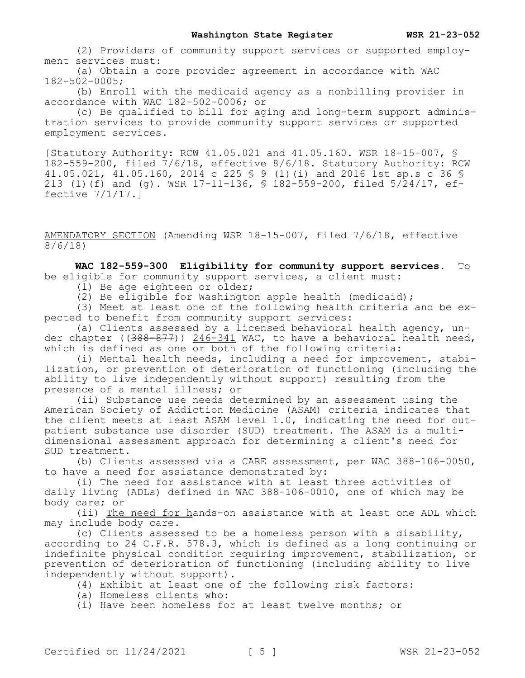(2) Providers of community support services or supported employment services must:

(a) Obtain a core provider agreement in accordance with WAC 182-502-0005;

(b) Enroll with the medicaid agency as a nonbilling provider in accordance with WAC 182-502-0006; or

(c) Be qualified to bill for aging and long-term support administration services to provide community support services or supported employment services.

[Statutory Authority: RCW 41.05.021 and 41.05.160. WSR 18-15-007, § 182-559-200, filed 7/6/18, effective 8/6/18. Statutory Authority: RCW 41.05.021, 41.05.160, 2014 c 225 § 9 (1)(i) and 2016 1st sp.s c 36 § 213 (1)(f) and (g). WSR 17-11-136, § 182-559-200, filed 5/24/17, effective 7/1/17.]

AMENDATORY SECTION (Amending WSR 18-15-007, filed 7/6/18, effective 8/6/18)

**WAC 182-559-300 Eligibility for community support services.** To be eligible for community support services, a client must:

(1) Be age eighteen or older;

(2) Be eligible for Washington apple health (medicaid);

(3) Meet at least one of the following health criteria and be expected to benefit from community support services:

(a) Clients assessed by a licensed behavioral health agency, under chapter ( $(388-877)$ ) 246-341 WAC, to have a behavioral health need, which is defined as one or both of the following criteria:

(i) Mental health needs, including a need for improvement, stabilization, or prevention of deterioration of functioning (including the ability to live independently without support) resulting from the presence of a mental illness; or

(ii) Substance use needs determined by an assessment using the American Society of Addiction Medicine (ASAM) criteria indicates that the client meets at least ASAM level  $1.0$ , indicating the need for outpatient substance use disorder (SUD) treatment. The ASAM is a multidimensional assessment approach for determining a client's need for SUD treatment.

(b) Clients assessed via a CARE assessment, per WAC 388-106-0050, to have a need for assistance demonstrated by:

(i) The need for assistance with at least three activities of daily living (ADLs) defined in WAC 388-106-0010, one of which may be body care; or

(ii) The need for hands-on assistance with at least one ADL which may include body care.

(c) Clients assessed to be a homeless person with a disability, according to 24 C.F.R. 578.3, which is defined as a long continuing or indefinite physical condition requiring improvement, stabilization, or prevention of deterioration of functioning (including ability to live independently without support).

(4) Exhibit at least one of the following risk factors:

- (a) Homeless clients who:
- (i) Have been homeless for at least twelve months; or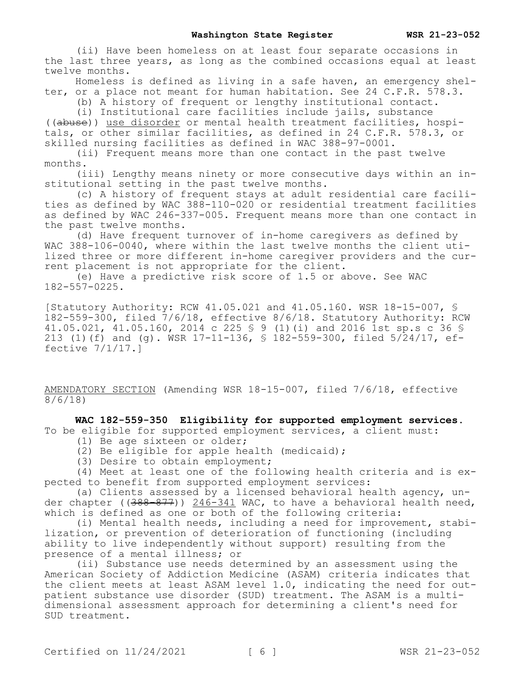(ii) Have been homeless on at least four separate occasions in the last three years, as long as the combined occasions equal at least twelve months.

Homeless is defined as living in a safe haven, an emergency shelter, or a place not meant for human habitation. See 24 C.F.R. 578.3.

(b) A history of frequent or lengthy institutional contact.

(i) Institutional care facilities include jails, substance

((abuse)) use disorder or mental health treatment facilities, hospitals, or other similar facilities, as defined in 24 C.F.R. 578.3, or skilled nursing facilities as defined in WAC 388-97-0001.

(ii) Frequent means more than one contact in the past twelve months.

(iii) Lengthy means ninety or more consecutive days within an institutional setting in the past twelve months.

(c) A history of frequent stays at adult residential care facilities as defined by WAC 388-110-020 or residential treatment facilities as defined by WAC 246-337-005. Frequent means more than one contact in the past twelve months.

(d) Have frequent turnover of in-home caregivers as defined by WAC 388-106-0040, where within the last twelve months the client utilized three or more different in-home caregiver providers and the current placement is not appropriate for the client.

(e) Have a predictive risk score of 1.5 or above. See WAC 182-557-0225.

[Statutory Authority: RCW 41.05.021 and 41.05.160. WSR 18-15-007, § 182-559-300, filed 7/6/18, effective 8/6/18. Statutory Authority: RCW 41.05.021, 41.05.160, 2014 c 225 § 9 (1)(i) and 2016 1st sp.s c 36 § 213 (1)(f) and (g). WSR 17-11-136, § 182-559-300, filed 5/24/17, effective 7/1/17.]

AMENDATORY SECTION (Amending WSR 18-15-007, filed 7/6/18, effective 8/6/18)

**WAC 182-559-350 Eligibility for supported employment services.**  To be eligible for supported employment services, a client must:

- (1) Be age sixteen or older;
- (2) Be eligible for apple health (medicaid);
- (3) Desire to obtain employment;

(4) Meet at least one of the following health criteria and is expected to benefit from supported employment services:

(a) Clients assessed by a licensed behavioral health agency, under chapter ( $(388-877)$ ) 246-341 WAC, to have a behavioral health need, which is defined as one or both of the following criteria:

(i) Mental health needs, including a need for improvement, stabilization, or prevention of deterioration of functioning (including ability to live independently without support) resulting from the presence of a mental illness; or

(ii) Substance use needs determined by an assessment using the American Society of Addiction Medicine (ASAM) criteria indicates that the client meets at least ASAM level 1.0, indicating the need for outpatient substance use disorder (SUD) treatment. The ASAM is a multidimensional assessment approach for determining a client's need for SUD treatment.